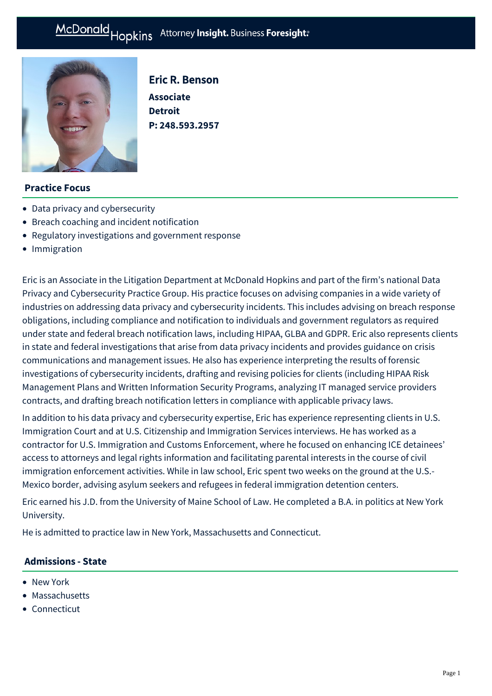

Eric R. Benson **Associate Detroit P: [248.593.2957](tel:248.593.2957)**

## **Practice Focus**

- [Data privacy and cybersecurity](https://mcdonaldhopkins.com/Expertise/Data-privacy-and-cybersecurity)
- [Breach coaching and incident notification](https://mcdonaldhopkins.com/Expertise/Data-privacy-and-cybersecurity/Breach-coaching-and-incident-notification)
- [Regulatory investigations and government response](https://mcdonaldhopkins.com/Expertise/Data-privacy-and-cybersecurity/Regulatory-investigations-and-government-response)
- [Immigration](https://mcdonaldhopkins.com/Expertise/Labor-and-employment/Immigration)

Eric is an Associate in the Litigation Department at McDonald Hopkins and part of the firm's national Data Privacy and Cybersecurity Practice Group. His practice focuses on advising companies in a wide variety of industries on addressing data privacy and cybersecurity incidents. This includes advising on breach response obligations, including compliance and notification to individuals and government regulators as required under state and federal breach notification laws, including HIPAA, GLBA and GDPR. Eric also represents clients in state and federal investigations that arise from data privacy incidents and provides guidance on crisis communications and management issues. He also has experience interpreting the results of forensic investigations of cybersecurity incidents, drafting and revising policies for clients (including HIPAA Risk Management Plans and Written Information Security Programs, analyzing IT managed service providers contracts, and drafting breach notification letters in compliance with applicable privacy laws.

In addition to his data privacy and cybersecurity expertise, Eric has experience representing clients in U.S. Immigration Court and at U.S. Citizenship and Immigration Services interviews. He has worked as a contractor for U.S. Immigration and Customs Enforcement, where he focused on enhancing ICE detainees' access to attorneys and legal rights information and facilitating parental interests in the course of civil immigration enforcement activities. While in law school, Eric spent two weeks on the ground at the U.S.- Mexico border, advising asylum seekers and refugees in federal immigration detention centers.

Eric earned his J.D. from the University of Maine School of Law. He completed a B.A. in politics at New York University.

He is admitted to practice law in New York, Massachusetts and Connecticut.

### **Admissions - State**

- New York
- Massachusetts
- Connecticut